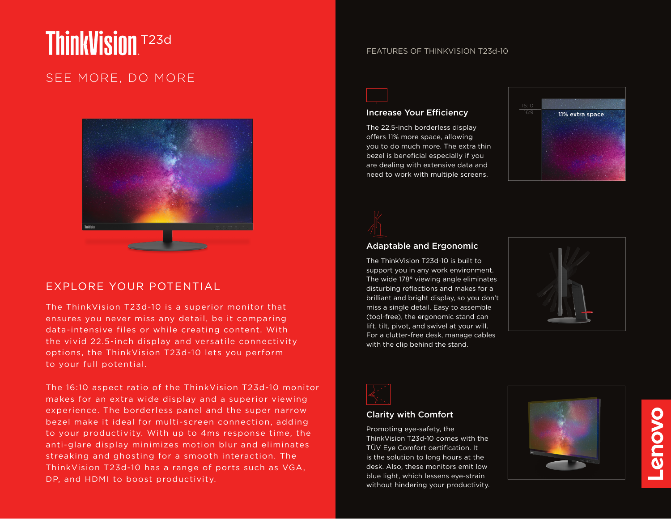# **ThinkVision** T23d

## SEE MORE, DO MORE



## EXPLORE YOUR POTENTIAL

The ThinkVision T23d-10 is a superior monitor that ensures you never miss any detail, be it comparing data-intensive files or while creating content. With the vivid 22.5-inch display and versatile connectivity options, the ThinkVision T23d-10 lets you perform to your full potential.

The 16:10 aspect ratio of the ThinkVision T23d-10 monitor makes for an extra wide display and a superior viewing experience. The borderless panel and the super narrow bezel make it ideal for multi-screen connection, adding to your productivity. With up to 4ms response time, the anti-glare display minimizes motion blur and eliminates streaking and ghosting for a smooth interaction. The ThinkVision T23d-10 has a range of ports such as VGA, DP, and HDMI to boost productivity.

#### FEATURES OF THINKVISION T23d-10



#### Increase Your Efficiency

The 22.5-inch borderless display offers 11% more space, allowing you to do much more. The extra thin bezel is beneficial especially if you are dealing with extensive data and need to work with multiple screens.



#### Adaptable and Ergonomic

The ThinkVision T23d-10 is built to support you in any work environment. The wide 178° viewing angle eliminates disturbing reflections and makes for a brilliant and bright display, so you don't miss a single detail. Easy to assemble (tool-free), the ergonomic stand can lift, tilt, pivot, and swivel at your will. For a clutter-free desk, manage cables with the clip behind the stand.





#### Clarity with Comfort

Promoting eye-safety, the ThinkVision T23d-10 comes with the TÜV Eye Comfort certification. It is the solution to long hours at the desk. Also, these monitors emit low blue light, which lessens eye-strain without hindering your productivity.